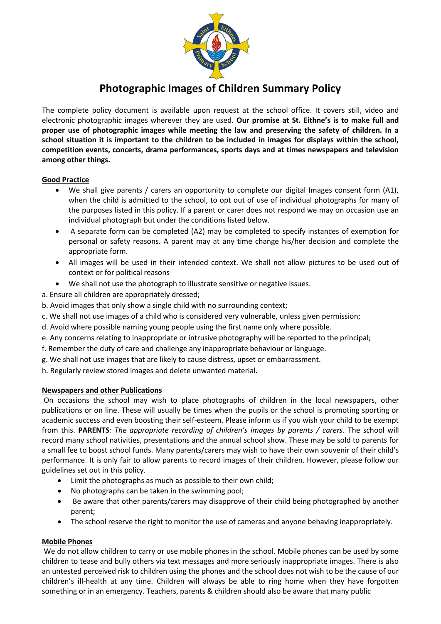

# **Photographic Images of Children Summary Policy**

The complete policy document is available upon request at the school office. It covers still, video and electronic photographic images wherever they are used. **Our promise at St. Eithne's is to make full and proper use of photographic images while meeting the law and preserving the safety of children. In a school situation it is important to the children to be included in images for displays within the school, competition events, concerts, drama performances, sports days and at times newspapers and television among other things.** 

## **Good Practice**

- We shall give parents / carers an opportunity to complete our digital Images consent form (A1), when the child is admitted to the school, to opt out of use of individual photographs for many of the purposes listed in this policy. If a parent or carer does not respond we may on occasion use an individual photograph but under the conditions listed below.
- A separate form can be completed (A2) may be completed to specify instances of exemption for personal or safety reasons. A parent may at any time change his/her decision and complete the appropriate form.
- All images will be used in their intended context. We shall not allow pictures to be used out of context or for political reasons
- We shall not use the photograph to illustrate sensitive or negative issues.
- a. Ensure all children are appropriately dressed;
- b. Avoid images that only show a single child with no surrounding context;
- c. We shall not use images of a child who is considered very vulnerable, unless given permission;
- d. Avoid where possible naming young people using the first name only where possible.
- e. Any concerns relating to inappropriate or intrusive photography will be reported to the principal;
- f. Remember the duty of care and challenge any inappropriate behaviour or language.
- g. We shall not use images that are likely to cause distress, upset or embarrassment.
- h. Regularly review stored images and delete unwanted material.

## **Newspapers and other Publications**

On occasions the school may wish to place photographs of children in the local newspapers, other publications or on line. These will usually be times when the pupils or the school is promoting sporting or academic success and even boosting their self-esteem. Please inform us if you wish your child to be exempt from this. **PARENTS***: The appropriate recording of children's images by parents / carers.* The school will record many school nativities, presentations and the annual school show. These may be sold to parents for a small fee to boost school funds. Many parents/carers may wish to have their own souvenir of their child's performance. It is only fair to allow parents to record images of their children. However, please follow our guidelines set out in this policy.

- Limit the photographs as much as possible to their own child;
- No photographs can be taken in the swimming pool;
- Be aware that other parents/carers may disapprove of their child being photographed by another parent;
- The school reserve the right to monitor the use of cameras and anyone behaving inappropriately.

## **Mobile Phones**

We do not allow children to carry or use mobile phones in the school. Mobile phones can be used by some children to tease and bully others via text messages and more seriously inappropriate images. There is also an untested perceived risk to children using the phones and the school does not wish to be the cause of our children's ill-health at any time. Children will always be able to ring home when they have forgotten something or in an emergency. Teachers, parents & children should also be aware that many public